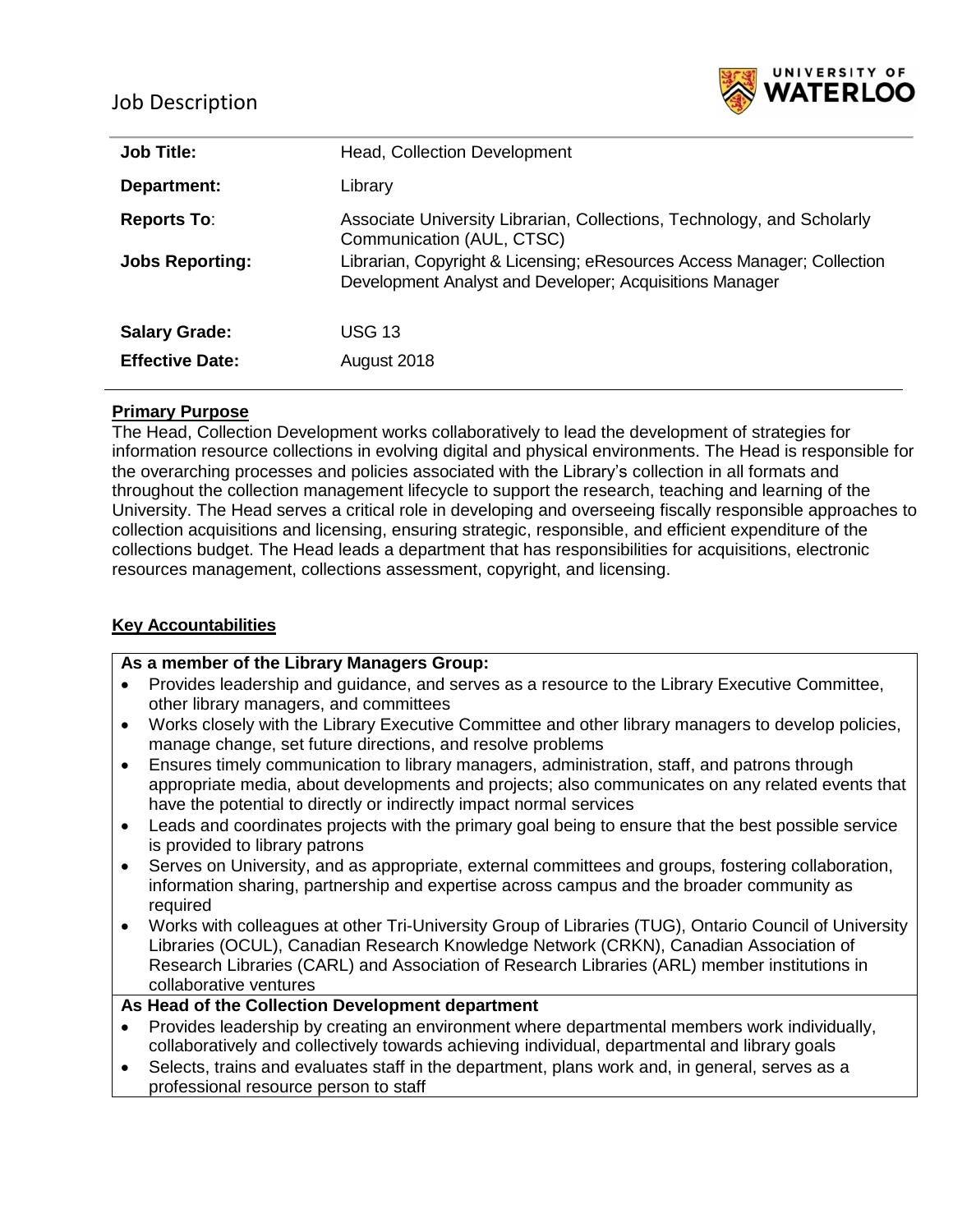# Job Description



| <b>Job Title:</b>      | <b>Head, Collection Development</b>                                                                                                |
|------------------------|------------------------------------------------------------------------------------------------------------------------------------|
| Department:            | Library                                                                                                                            |
| <b>Reports To:</b>     | Associate University Librarian, Collections, Technology, and Scholarly<br>Communication (AUL, CTSC)                                |
| <b>Jobs Reporting:</b> | Librarian, Copyright & Licensing; eResources Access Manager; Collection<br>Development Analyst and Developer; Acquisitions Manager |
| <b>Salary Grade:</b>   | USG 13                                                                                                                             |
| <b>Effective Date:</b> | August 2018                                                                                                                        |
|                        |                                                                                                                                    |

### **Primary Purpose**

The Head, Collection Development works collaboratively to lead the development of strategies for information resource collections in evolving digital and physical environments. The Head is responsible for the overarching processes and policies associated with the Library's collection in all formats and throughout the collection management lifecycle to support the research, teaching and learning of the University. The Head serves a critical role in developing and overseeing fiscally responsible approaches to collection acquisitions and licensing, ensuring strategic, responsible, and efficient expenditure of the collections budget. The Head leads a department that has responsibilities for acquisitions, electronic resources management, collections assessment, copyright, and licensing.

### **Key Accountabilities**

### **As a member of the Library Managers Group:**

- Provides leadership and guidance, and serves as a resource to the Library Executive Committee, other library managers, and committees
- Works closely with the Library Executive Committee and other library managers to develop policies, manage change, set future directions, and resolve problems
- Ensures timely communication to library managers, administration, staff, and patrons through appropriate media, about developments and projects; also communicates on any related events that have the potential to directly or indirectly impact normal services
- Leads and coordinates projects with the primary goal being to ensure that the best possible service is provided to library patrons
- Serves on University, and as appropriate, external committees and groups, fostering collaboration, information sharing, partnership and expertise across campus and the broader community as required
- Works with colleagues at other Tri-University Group of Libraries (TUG), Ontario Council of University Libraries (OCUL), Canadian Research Knowledge Network (CRKN), Canadian Association of Research Libraries (CARL) and Association of Research Libraries (ARL) member institutions in collaborative ventures

#### **As Head of the Collection Development department**

- Provides leadership by creating an environment where departmental members work individually, collaboratively and collectively towards achieving individual, departmental and library goals
- Selects, trains and evaluates staff in the department, plans work and, in general, serves as a professional resource person to staff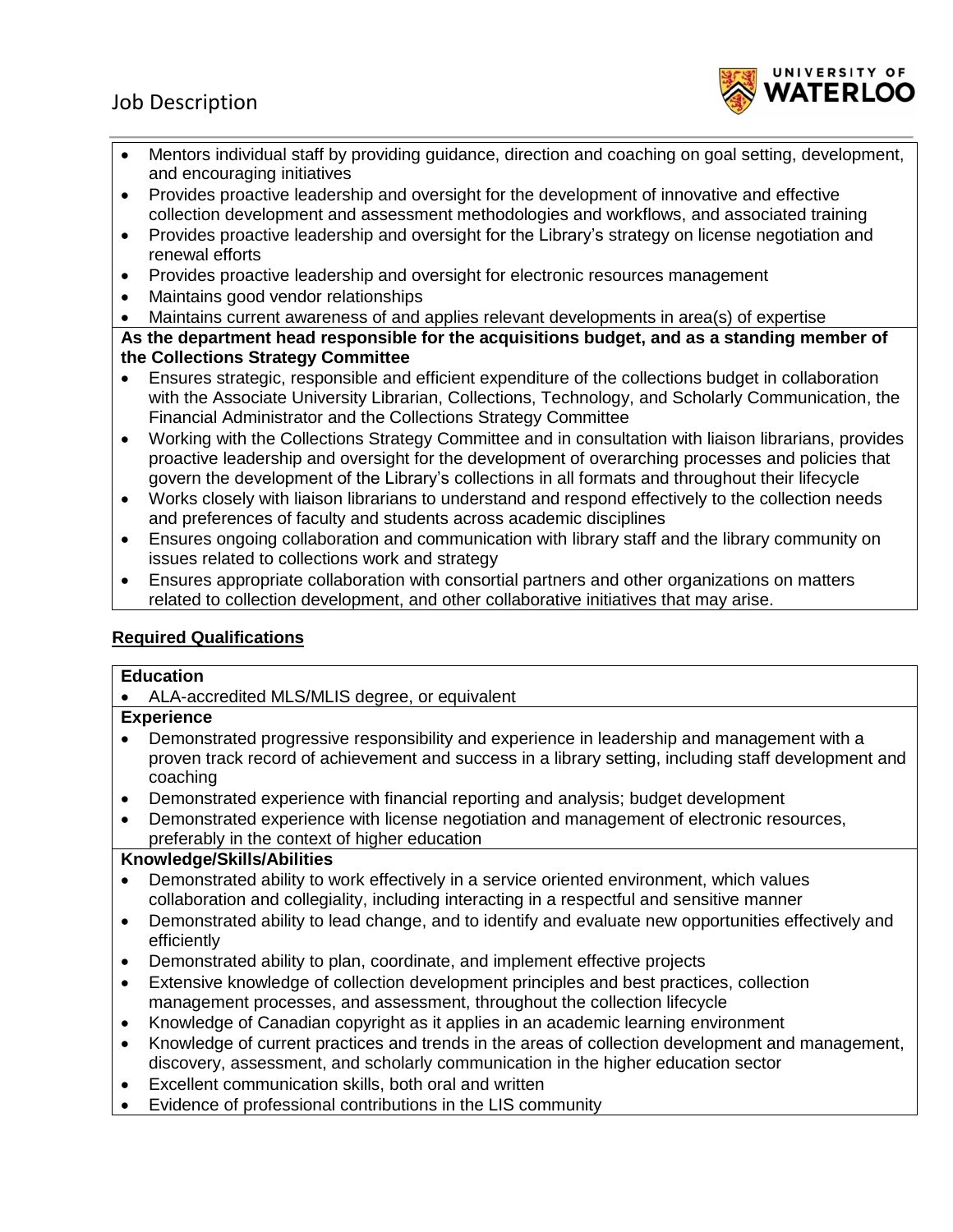

- Mentors individual staff by providing guidance, direction and coaching on goal setting, development, and encouraging initiatives
- Provides proactive leadership and oversight for the development of innovative and effective collection development and assessment methodologies and workflows, and associated training
- Provides proactive leadership and oversight for the Library's strategy on license negotiation and renewal efforts
- Provides proactive leadership and oversight for electronic resources management
- Maintains good vendor relationships
- Maintains current awareness of and applies relevant developments in area(s) of expertise

**As the department head responsible for the acquisitions budget, and as a standing member of the Collections Strategy Committee**

- Ensures strategic, responsible and efficient expenditure of the collections budget in collaboration with the Associate University Librarian, Collections, Technology, and Scholarly Communication, the Financial Administrator and the Collections Strategy Committee
- Working with the Collections Strategy Committee and in consultation with liaison librarians, provides proactive leadership and oversight for the development of overarching processes and policies that govern the development of the Library's collections in all formats and throughout their lifecycle
- Works closely with liaison librarians to understand and respond effectively to the collection needs and preferences of faculty and students across academic disciplines
- Ensures ongoing collaboration and communication with library staff and the library community on issues related to collections work and strategy
- Ensures appropriate collaboration with consortial partners and other organizations on matters related to collection development, and other collaborative initiatives that may arise.

# **Required Qualifications**

### **Education**

ALA-accredited MLS/MLIS degree, or equivalent

### **Experience**

- Demonstrated progressive responsibility and experience in leadership and management with a proven track record of achievement and success in a library setting, including staff development and coaching
- Demonstrated experience with financial reporting and analysis; budget development
- Demonstrated experience with license negotiation and management of electronic resources, preferably in the context of higher education

### **Knowledge/Skills/Abilities**

- Demonstrated ability to work effectively in a service oriented environment, which values collaboration and collegiality, including interacting in a respectful and sensitive manner
- Demonstrated ability to lead change, and to identify and evaluate new opportunities effectively and efficiently
- Demonstrated ability to plan, coordinate, and implement effective projects
- Extensive knowledge of collection development principles and best practices, collection management processes, and assessment, throughout the collection lifecycle
- Knowledge of Canadian copyright as it applies in an academic learning environment
- Knowledge of current practices and trends in the areas of collection development and management, discovery, assessment, and scholarly communication in the higher education sector
- Excellent communication skills, both oral and written
- Evidence of professional contributions in the LIS community